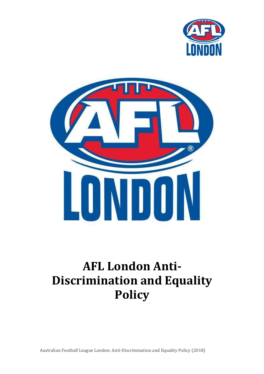



# **AFL London Anti-Discrimination and Equality Policy**

Australian Football League London: Anti-Discrimination and Equality Policy (2018)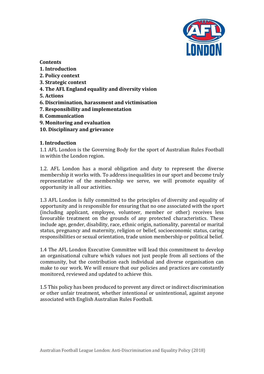

### **Contents**

- **1. Introduction**
- **2. Policy context**
- **3. Strategic context**
- **4. The AFL England equality and diversity vision**
- **5. Actions**
- **6. Discrimination, harassment and victimisation**
- **7. Responsibility and implementation**
- **8. Communication**
- **9. Monitoring and evaluation**
- **10. Disciplinary and grievance**

### **1. Introduction**

1.1 AFL London is the Governing Body for the sport of Australian Rules Football in within the London region.

1.2. AFL London has a moral obligation and duty to represent the diverse membership it works with. To address inequalities in our sport and become truly representative of the membership we serve, we will promote equality of opportunity in all our activities.

1.3 AFL London is fully committed to the principles of diversity and equality of opportunity and is responsible for ensuring that no one associated with the sport (including applicant, employee, volunteer, member or other) receives less favourable treatment on the grounds of any protected characteristics. These include age, gender, disability, race, ethnic origin, nationality, parental or marital status, pregnancy and maternity, religion or belief, socioeconomic status, caring responsibilities or sexual orientation, trade union membership or political belief.

1.4 The AFL London Executive Committee will lead this commitment to develop an organisational culture which values not just people from all sections of the community, but the contribution each individual and diverse organisation can make to our work. We will ensure that our policies and practices are constantly monitored, reviewed and updated to achieve this.

1.5 This policy has been produced to prevent any direct or indirect discrimination or other unfair treatment, whether intentional or unintentional, against anyone associated with English Australian Rules Football.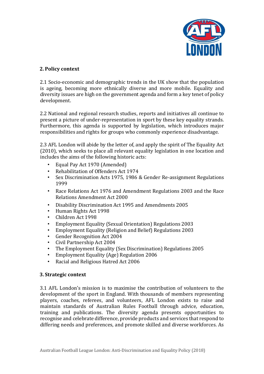

# **2. Policy context**

2.1 Socio-economic and demographic trends in the UK show that the population is ageing, becoming more ethnically diverse and more mobile. Equality and diversity issues are high on the government agenda and form a key tenet of policy development.

2.2 National and regional research studies, reports and initiatives all continue to present a picture of under-representation in sport by these key equality strands. Furthermore, this agenda is supported by legislation, which introduces major responsibilities and rights for groups who commonly experience disadvantage.

2.3 AFL London will abide by the letter of, and apply the spirit of The Equality Act (2010), which seeks to place all relevant equality legislation in one location and includes the aims of the following historic acts:

- Equal Pay Act 1970 (Amended)
- Rehabilitation of Offenders Act 1974
- Sex Discrimination Acts 1975, 1986 & Gender Re-assignment Regulations 1999
- Race Relations Act 1976 and Amendment Regulations 2003 and the Race Relations Amendment Act 2000
- Disability Discrimination Act 1995 and Amendments 2005
- Human Rights Act 1998
- Children Act 1998
- Employment Equality (Sexual Orientation) Regulations 2003
- Employment Equality (Religion and Belief) Regulations 2003
- Gender Recognition Act 2004
- Civil Partnership Act 2004
- The Employment Equality (Sex Discrimination) Regulations 2005
- Employment Equality (Age) Regulation 2006
- Racial and Religious Hatred Act 2006

#### **3. Strategic context**

3.1 AFL London's mission is to maximise the contribution of volunteers to the development of the sport in England. With thousands of members representing players, coaches, referees, and volunteers, AFL London exists to raise and maintain standards of Australian Rules Football through advice, education, training and publications. The diversity agenda presents opportunities to recognise and celebrate difference, provide products and services that respond to differing needs and preferences, and promote skilled and diverse workforces. As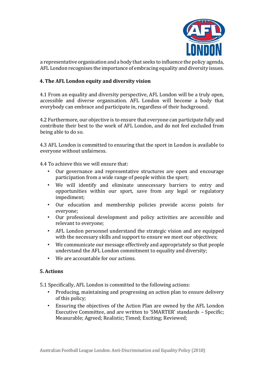

a representative organisation and a body that seeks to influence the policy agenda, AFL London recognises the importance of embracing equality and diversity issues.

### **4. The AFL London equity and diversity vision**

4.1 From an equality and diversity perspective, AFL London will be a truly open, accessible and diverse organisation. AFL London will become a body that everybody can embrace and participate in, regardless of their background.

4.2 Furthermore, our objective is to ensure that everyone can participate fully and contribute their best to the work of AFL London, and do not feel excluded from being able to do so.

4.3 AFL London is committed to ensuring that the sport in London is available to everyone without unfairness.

4.4 To achieve this we will ensure that:

- Our governance and representative structures are open and encourage participation from a wide range of people within the sport;
- We will identify and eliminate unnecessary barriers to entry and opportunities within our sport, save from any legal or regulatory impediment;
- Our education and membership policies provide access points for everyone;
- Our professional development and policy activities are accessible and relevant to everyone;
- AFL London personnel understand the strategic vision and are equipped with the necessary skills and support to ensure we meet our objectives;
- We communicate our message effectively and appropriately so that people understand the AFL London commitment to equality and diversity;
- We are accountable for our actions.

# **5. Actions**

5.1 Specifically, AFL London is committed to the following actions:

- Producing, maintaining and progressing an action plan to ensure delivery of this policy;
- Ensuring the objectives of the Action Plan are owned by the AFL London Executive Committee, and are written to 'SMARTER' standards – Specific; Measurable; Agreed; Realistic; Timed; Exciting; Reviewed;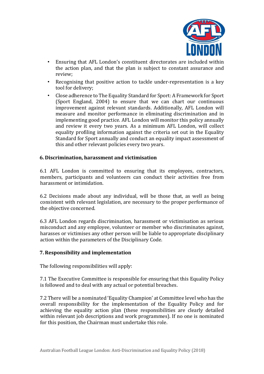

- Ensuring that AFL London's constituent directorates are included within the action plan, and that the plan is subject to constant assurance and review;
- Recognising that positive action to tackle under-representation is a key tool for delivery;
- Close adherence to The Equality Standard for Sport: A Framework for Sport (Sport England, 2004) to ensure that we can chart our continuous improvement against relevant standards. Additionally, AFL London will measure and monitor performance in eliminating discrimination and in implementing good practice. AFL London will monitor this policy annually and review it every two years. As a minimum AFL London, will collect equality profiling information against the criteria set out in the Equality Standard for Sport annually and conduct an equality impact assessment of this and other relevant policies every two years.

#### **6. Discrimination, harassment and victimisation**

6.1 AFL London is committed to ensuring that its employees, contractors, members, participants and volunteers can conduct their activities free from harassment or intimidation.

6.2 Decisions made about any individual, will be those that, as well as being consistent with relevant legislation, are necessary to the proper performance of the objective concerned.

6.3 AFL London regards discrimination, harassment or victimisation as serious misconduct and any employee, volunteer or member who discriminates against, harasses or victimises any other person will be liable to appropriate disciplinary action within the parameters of the Disciplinary Code.

#### **7. Responsibility and implementation**

The following responsibilities will apply:

7.1 The Executive Committee is responsible for ensuring that this Equality Policy is followed and to deal with any actual or potential breaches.

7.2 There will be a nominated 'Equality Champion' at Committee level who has the overall responsibility for the implementation of the Equality Policy and for achieving the equality action plan (these responsibilities are clearly detailed within relevant job descriptions and work programmes). If no one is nominated for this position, the Chairman must undertake this role.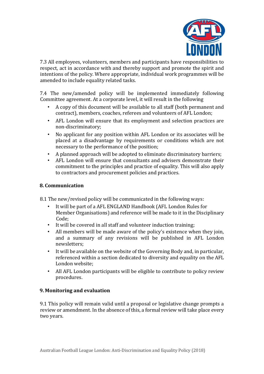

7.3 All employees, volunteers, members and participants have responsibilities to respect, act in accordance with and thereby support and promote the spirit and intentions of the policy. Where appropriate, individual work programmes will be amended to include equality related tasks.

7.4 The new/amended policy will be implemented immediately following Committee agreement. At a corporate level, it will result in the following

- A copy of this document will be available to all staff (both permanent and contract), members, coaches, referees and volunteers of AFL London;
- AFL London will ensure that its employment and selection practices are non-discriminatory;
- No applicant for any position within AFL London or its associates will be placed at a disadvantage by requirements or conditions which are not necessary to the performance of the position;
- A planned approach will be adopted to eliminate discriminatory barriers;
- AFL London will ensure that consultants and advisers demonstrate their commitment to the principles and practice of equality. This will also apply to contractors and procurement policies and practices.

### **8. Communication**

8.1 The new/revised policy will be communicated in the following ways:

- It will be part of a AFL ENGLAND Handbook (AFL London Rules for Member Organisations) and reference will be made to it in the Disciplinary Code;
- It will be covered in all staff and volunteer induction training;
- All members will be made aware of the policy's existence when they join, and a summary of any revisions will be published in AFL London newsletters;
- It will be available on the website of the Governing Body and, in particular, referenced within a section dedicated to diversity and equality on the AFL London website;
- All AFL London participants will be eligible to contribute to policy review procedures.

# **9. Monitoring and evaluation**

9.1 This policy will remain valid until a proposal or legislative change prompts a review or amendment. In the absence of this, a formal review will take place every two years.